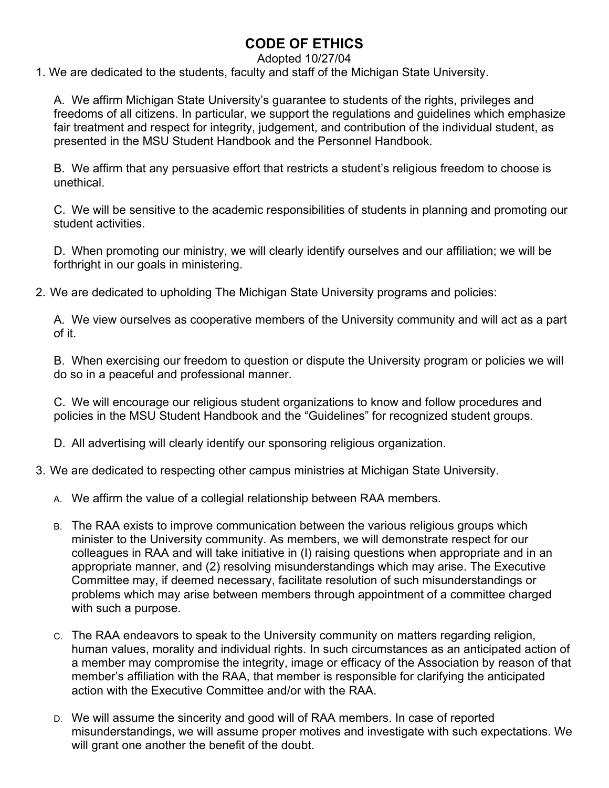## **CODE OF ETHICS**

## Adopted 10/27/04

1. We are dedicated to the students, faculty and staff of the Michigan State University.

A. We affirm Michigan State University's guarantee to students of the rights, privileges and freedoms of all citizens. In particular, we support the regulations and guidelines which emphasize fair treatment and respect for integrity, judgement, and contribution of the individual student, as presented in the MSU Student Handbook and the Personnel Handbook.

B. We affirm that any persuasive effort that restricts a student's religious freedom to choose is unethical.

C. We will be sensitive to the academic responsibilities of students in planning and promoting our student activities.

D. When promoting our ministry, we will clearly identify ourselves and our affiliation; we will be forthright in our goals in ministering.

2. We are dedicated to upholding The Michigan State University programs and policies:

A. We view ourselves as cooperative members of the University community and will act as a part of it.

B. When exercising our freedom to question or dispute the University program or policies we will do so in a peaceful and professional manner.

C. We will encourage our religious student organizations to know and follow procedures and policies in the MSU Student Handbook and the "Guidelines" for recognized student groups.

D. All advertising will clearly identify our sponsoring religious organization.

- 3. We are dedicated to respecting other campus ministries at Michigan State University.
	- A. We affirm the value of a collegial relationship between RAA members.
	- B. The RAA exists to improve communication between the various religious groups which minister to the University community. As members, we will demonstrate respect for our colleagues in RAA and will take initiative in (I) raising questions when appropriate and in an appropriate manner, and (2) resolving misunderstandings which may arise. The Executive Committee may, if deemed necessary, facilitate resolution of such misunderstandings or problems which may arise between members through appointment of a committee charged with such a purpose.
	- C. The RAA endeavors to speak to the University community on matters regarding religion, human values, morality and individual rights. In such circumstances as an anticipated action of a member may compromise the integrity, image or efficacy of the Association by reason of that member's affiliation with the RAA, that member is responsible for clarifying the anticipated action with the Executive Committee and/or with the RAA.
	- D. We will assume the sincerity and good will of RAA members. In case of reported misunderstandings, we will assume proper motives and investigate with such expectations. We will grant one another the benefit of the doubt.